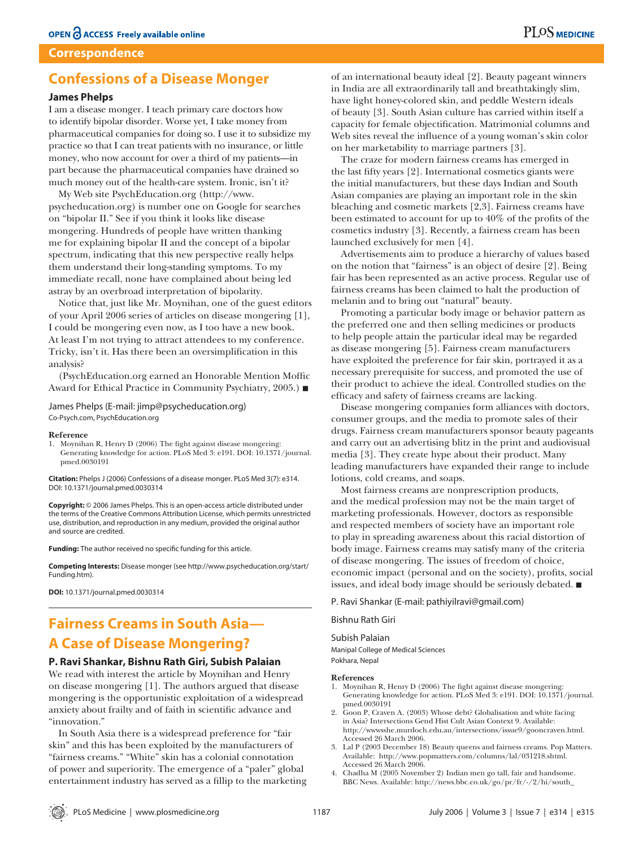## **Correspondence**

## **Confessions of a Disease Monger**

## **James Phelps**

I am a disease monger. I teach primary care doctors how to identify bipolar disorder. Worse yet, I take money from pharmaceutical companies for doing so. I use it to subsidize my practice so that I can treat patients with no insurance, or little money, who now account for over a third of my patients—in part because the pharmaceutical companies have drained so much money out of the health-care system. Ironic, isn't it?

My Web site PsychEducation.org (http:⁄⁄www. psycheducation.org) is number one on Google for searches on "bipolar II." See if you think it looks like disease mongering. Hundreds of people have written thanking me for explaining bipolar II and the concept of a bipolar spectrum, indicating that this new perspective really helps them understand their long-standing symptoms. To my immediate recall, none have complained about being led astray by an overbroad interpretation of bipolarity.

Notice that, just like Mr. Moynihan, one of the guest editors of your April 2006 series of articles on disease mongering [1], I could be mongering even now, as I too have a new book. At least I'm not trying to attract attendees to my conference. Tricky, isn't it. Has there been an oversimplification in this analysis?

(PsychEducation.org earned an Honorable Mention Moffic Award for Ethical Practice in Community Psychiatry, 2005.)

James Phelps (E-mail: jimp@psycheducation.org) Co-Psych.com, PsychEducation.org

#### **Reference**

1. Moynihan R, Henry D (2006) The fight against disease mongering: Generating knowledge for action. PLoS Med 3: e191. DOI: 10.1371/journal. pmed.0030191

**Citation:** Phelps J (2006) Confessions of a disease monger. PLoS Med 3(7): e314. DOI: 10.1371/journal.pmed.0030314

**Copyright:** © 2006 James Phelps. This is an open-access article distributed under the terms of the Creative Commons Attribution License, which permits unrestricted use, distribution, and reproduction in any medium, provided the original author and source are credited.

**Funding:** The author received no specific funding for this article.

**Competing Interests:** Disease monger (see http://www.psycheducation.org/start/ Funding.htm).

**DOI:** 10.1371/journal.pmed.0030314

## **Fairness Creams in South Asia— A Case of Disease Mongering?**

## **P. Ravi Shankar, Bishnu Rath Giri, Subish Palaian**

We read with interest the article by Moynihan and Henry on disease mongering [1]. The authors argued that disease mongering is the opportunistic exploitation of a widespread anxiety about frailty and of faith in scientific advance and "innovation."

In South Asia there is a widespread preference for "fair skin" and this has been exploited by the manufacturers of "fairness creams." "White" skin has a colonial connotation of power and superiority. The emergence of a "paler" global entertainment industry has served as a fillip to the marketing

of an international beauty ideal [2]. Beauty pageant winners in India are all extraordinarily tall and breathtakingly slim, have light honey-colored skin, and peddle Western ideals of beauty [3]. South Asian culture has carried within itself a capacity for female objectification. Matrimonial columns and Web sites reveal the influence of a young woman's skin color on her marketability to marriage partners [3].

The craze for modern fairness creams has emerged in the last fifty years [2]. International cosmetics giants were the initial manufacturers, but these days Indian and South Asian companies are playing an important role in the skin bleaching and cosmetic markets [2,3]. Fairness creams have been estimated to account for up to  $40\%$  of the profits of the cosmetics industry [3]. Recently, a fairness cream has been launched exclusively for men [4].

Advertisements aim to produce a hierarchy of values based on the notion that "fairness" is an object of desire [2]. Being fair has been represented as an active process. Regular use of fairness creams has been claimed to halt the production of melanin and to bring out "natural" beauty.

Promoting a particular body image or behavior pattern as the preferred one and then selling medicines or products to help people attain the particular ideal may be regarded as disease mongering [5]. Fairness cream manufacturers have exploited the preference for fair skin, portrayed it as a necessary prerequisite for success, and promoted the use of their product to achieve the ideal. Controlled studies on the efficacy and safety of fairness creams are lacking.

Disease mongering companies form alliances with doctors, consumer groups, and the media to promote sales of their drugs. Fairness cream manufacturers sponsor beauty pageants and carry out an advertising blitz in the print and audiovisual media [3]. They create hype about their product. Many leading manufacturers have expanded their range to include lotions, cold creams, and soaps.

Most fairness creams are nonprescription products, and the medical profession may not be the main target of marketing professionals. However, doctors as responsible and respected members of society have an important role to play in spreading awareness about this racial distortion of body image. Fairness creams may satisfy many of the criteria of disease mongering. The issues of freedom of choice, economic impact (personal and on the society), profits, social issues, and ideal body image should be seriously debated.

## P. Ravi Shankar (E-mail: pathiyilravi@gmail.com)

Bishnu Rath Giri

## Subish Palaian

Manipal College of Medical Sciences Pokhara, Nepal

#### **References**

- 1. Moynihan R, Henry D (2006) The fight against disease mongering: Generating knowledge for action. PLoS Med 3: e191. DOI: 10.1371/journal. pmed.0030191
- 2. Goon P, Craven A. (2003) Whose debt? Globalisation and white facing in Asia? Intersections Gend Hist Cult Asian Context 9. Available: http:⁄⁄wwwsshe.murdoch.edu.au/intersections/issue9/gooncraven.html. Accessed 26 March 2006.
- 3. Lal P (2003 December 18) Beauty queens and fairness creams. Pop Matters. Available: http:⁄⁄www.popmatters.com/columns/lal/031218.shtml. Accessed 26 March 2006.
- 4. Chadha M (2005 November 2) Indian men go tall, fair and handsome. BBC News. Available: http:⁄⁄news.bbc.co.uk/go/pr/fr/-/2/hi/south\_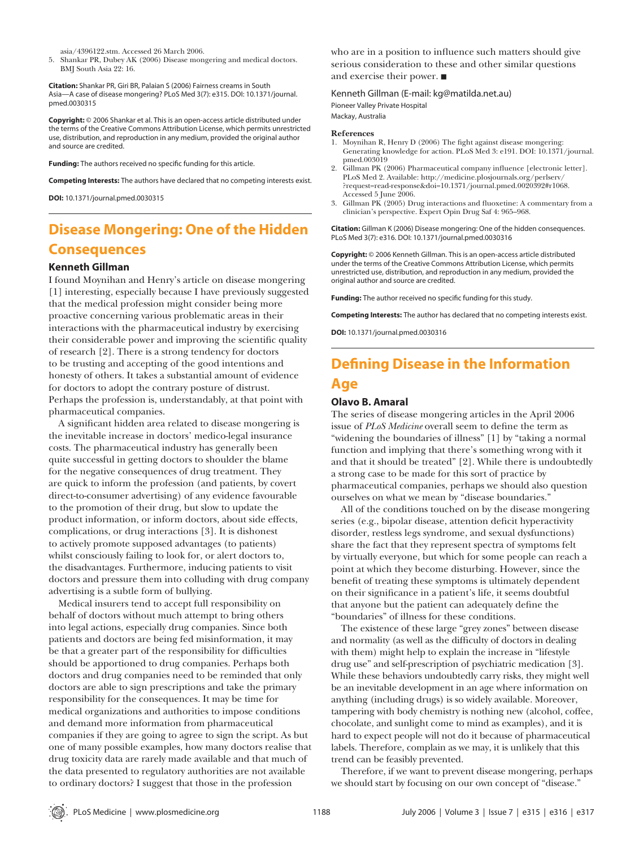asia/4396122.stm. Accessed 26 March 2006.

5. Shankar PR, Dubey AK (2006) Disease mongering and medical doctors. BMJ South Asia 22: 16.

**Citation:** Shankar PR, Giri BR, Palaian S (2006) Fairness creams in South Asia—A case of disease mongering? PLoS Med 3(7): e315. DOI: 10.1371/journal. pmed.0030315

**Copyright:** © 2006 Shankar et al. This is an open-access article distributed under the terms of the Creative Commons Attribution License, which permits unrestricted use, distribution, and reproduction in any medium, provided the original author and source are credited.

Funding: The authors received no specific funding for this article.

**Competing Interests:** The authors have declared that no competing interests exist.

**DOI:** 10.1371/journal.pmed.0030315

# **Disease Mongering: One of the Hidden Consequences**

## **Kenneth Gillman**

I found Moynihan and Henry's article on disease mongering [1] interesting, especially because I have previously suggested that the medical profession might consider being more proactive concerning various problematic areas in their interactions with the pharmaceutical industry by exercising their considerable power and improving the scientific quality of research [2]. There is a strong tendency for doctors to be trusting and accepting of the good intentions and honesty of others. It takes a substantial amount of evidence for doctors to adopt the contrary posture of distrust. Perhaps the profession is, understandably, at that point with pharmaceutical companies.

A significant hidden area related to disease mongering is the inevitable increase in doctors' medico-legal insurance costs. The pharmaceutical industry has generally been quite successful in getting doctors to shoulder the blame for the negative consequences of drug treatment. They are quick to inform the profession (and patients, by covert direct-to-consumer advertising) of any evidence favourable to the promotion of their drug, but slow to update the product information, or inform doctors, about side effects, complications, or drug interactions [3]. It is dishonest to actively promote supposed advantages (to patients) whilst consciously failing to look for, or alert doctors to, the disadvantages. Furthermore, inducing patients to visit doctors and pressure them into colluding with drug company advertising is a subtle form of bullying.

Medical insurers tend to accept full responsibility on behalf of doctors without much attempt to bring others into legal actions, especially drug companies. Since both patients and doctors are being fed misinformation, it may be that a greater part of the responsibility for difficulties should be apportioned to drug companies. Perhaps both doctors and drug companies need to be reminded that only doctors are able to sign prescriptions and take the primary responsibility for the consequences. It may be time for medical organizations and authorities to impose conditions and demand more information from pharmaceutical companies if they are going to agree to sign the script. As but one of many possible examples, how many doctors realise that drug toxicity data are rarely made available and that much of the data presented to regulatory authorities are not available to ordinary doctors? I suggest that those in the profession

who are in a position to influence such matters should give serious consideration to these and other similar questions and exercise their power.

Kenneth Gillman (E-mail: kg@matilda.net.au) Pioneer Valley Private Hospital Mackay, Australia

#### **References**

- 1. Moynihan R, Henry D (2006) The fight against disease mongering: Generating knowledge for action. PLoS Med 3: e191. DOI: 10.1371/journal. pmed.003019
- 2. Gillman PK (2006) Pharmaceutical company influence [electronic letter]. PLoS Med 2. Available: http:⁄⁄medicine.plosjournals.org/perlserv/ ?request=read-response&doi=10.1371/journal.pmed.0020392#r1068. Accessed 5 June 2006.
- 3. Gillman PK (2005) Drug interactions and fluoxetine: A commentary from a clinician's perspective. Expert Opin Drug Saf 4: 965–968.

**Citation:** Gillman K (2006) Disease mongering: One of the hidden consequences. PLoS Med 3(7): e316. DOI: 10.1371/journal.pmed.0030316

**Copyright:** © 2006 Kenneth Gillman. This is an open-access article distributed under the terms of the Creative Commons Attribution License, which permits unrestricted use, distribution, and reproduction in any medium, provided the original author and source are credited.

Funding: The author received no specific funding for this study.

**Competing Interests:** The author has declared that no competing interests exist.

**DOI:** 10.1371/journal.pmed.0030316

# **Defining Disease in the Information Age**

## **Olavo B. Amaral**

The series of disease mongering articles in the April 2006 issue of *PLoS Medicine* overall seem to define the term as "widening the boundaries of illness" [1] by "taking a normal function and implying that there's something wrong with it and that it should be treated" [2]. While there is undoubtedly a strong case to be made for this sort of practice by pharmaceutical companies, perhaps we should also question ourselves on what we mean by "disease boundaries."

All of the conditions touched on by the disease mongering series (e.g., bipolar disease, attention deficit hyperactivity disorder, restless legs syndrome, and sexual dysfunctions) share the fact that they represent spectra of symptoms felt by virtually everyone, but which for some people can reach a point at which they become disturbing. However, since the benefit of treating these symptoms is ultimately dependent on their significance in a patient's life, it seems doubtful that anyone but the patient can adequately define the "boundaries" of illness for these conditions.

The existence of these large "grey zones" between disease and normality (as well as the difficulty of doctors in dealing with them) might help to explain the increase in "lifestyle drug use" and self-prescription of psychiatric medication [3]. While these behaviors undoubtedly carry risks, they might well be an inevitable development in an age where information on anything (including drugs) is so widely available. Moreover, tampering with body chemistry is nothing new (alcohol, coffee, chocolate, and sunlight come to mind as examples), and it is hard to expect people will not do it because of pharmaceutical labels. Therefore, complain as we may, it is unlikely that this trend can be feasibly prevented.

Therefore, if we want to prevent disease mongering, perhaps we should start by focusing on our own concept of "disease."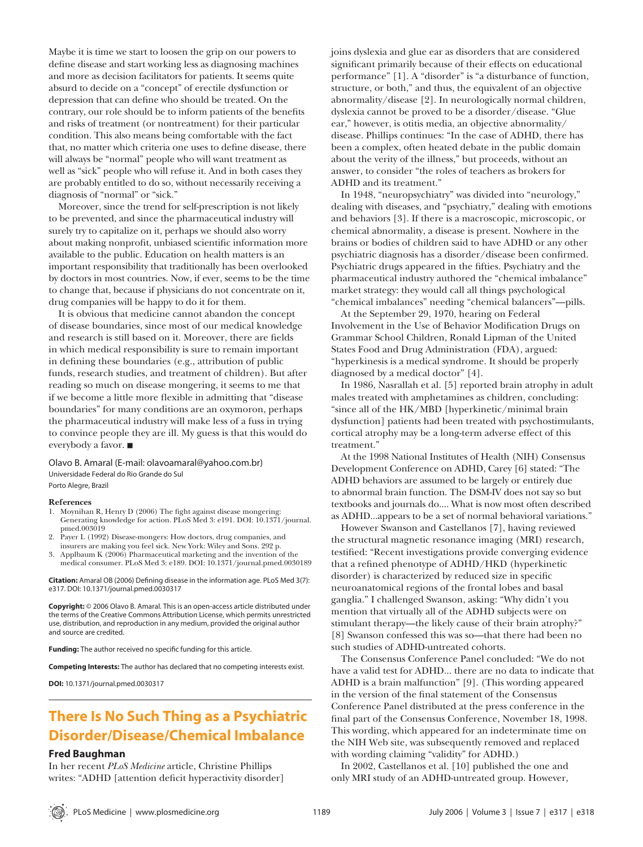Maybe it is time we start to loosen the grip on our powers to define disease and start working less as diagnosing machines and more as decision facilitators for patients. It seems quite absurd to decide on a "concept" of erectile dysfunction or depression that can define who should be treated. On the contrary, our role should be to inform patients of the benefits and risks of treatment (or nontreatment) for their particular condition. This also means being comfortable with the fact that, no matter which criteria one uses to define disease, there will always be "normal" people who will want treatment as well as "sick" people who will refuse it. And in both cases they are probably entitled to do so, without necessarily receiving a diagnosis of "normal" or "sick."

Moreover, since the trend for self-prescription is not likely to be prevented, and since the pharmaceutical industry will surely try to capitalize on it, perhaps we should also worry about making nonprofit, unbiased scientific information more available to the public. Education on health matters is an important responsibility that traditionally has been overlooked by doctors in most countries. Now, if ever, seems to be the time to change that, because if physicians do not concentrate on it, drug companies will be happy to do it for them.

It is obvious that medicine cannot abandon the concept of disease boundaries, since most of our medical knowledge and research is still based on it. Moreover, there are fields in which medical responsibility is sure to remain important in defining these boundaries (e.g., attribution of public funds, research studies, and treatment of children). But after reading so much on disease mongering, it seems to me that if we become a little more flexible in admitting that "disease" boundaries" for many conditions are an oxymoron, perhaps the pharmaceutical industry will make less of a fuss in trying to convince people they are ill. My guess is that this would do everybody a favor.

Olavo B. Amaral (E-mail: olavoamaral@yahoo.com.br) Universidade Federal do Rio Grande do Sul Porto Alegre, Brazil

#### **References**

- 1. Moynihan R, Henry D (2006) The fight against disease mongering: Generating knowledge for action. PLoS Med 3: e191. DOI: 10.1371/journal. pmed.003019
- Payer L (1992) Disease-mongers: How doctors, drug companies, and insurers are making you feel sick. New York: Wiley and Sons. 292 p.
- 3. Applbaum K (2006) Pharmaceutical marketing and the invention of the medical consumer. PLoS Med 3: e189. DOI: 10.1371/journal.pmed.0030189

**Citation:** Amaral OB (2006) Defining disease in the information age. PLoS Med 3(7): e317. DOI: 10.1371/journal.pmed.0030317

**Copyright:** © 2006 Olavo B. Amaral. This is an open-access article distributed under the terms of the Creative Commons Attribution License, which permits unrestricted use, distribution, and reproduction in any medium, provided the original author and source are credited.

**Funding:** The author received no specific funding for this article.

**Competing Interests:** The author has declared that no competing interests exist.

**DOI:** 10.1371/journal.pmed.0030317

## **There Is No Such Thing as a Psychiatric Disorder/Disease/Chemical Imbalance**

### **Fred Baughman**

In her recent *PLoS Medicine* article, Christine Phillips writes: "ADHD [attention deficit hyperactivity disorder] joins dyslexia and glue ear as disorders that are considered significant primarily because of their effects on educational performance" [1]. A "disorder" is "a disturbance of function, structure, or both," and thus, the equivalent of an objective abnormality/disease [2]. In neurologically normal children, dyslexia cannot be proved to be a disorder/disease. "Glue ear," however, is otitis media, an objective abnormality/ disease. Phillips continues: "In the case of ADHD, there has been a complex, often heated debate in the public domain about the verity of the illness," but proceeds, without an answer, to consider "the roles of teachers as brokers for ADHD and its treatment."

In 1948, "neuropsychiatry" was divided into "neurology," dealing with diseases, and "psychiatry," dealing with emotions and behaviors [3]. If there is a macroscopic, microscopic, or chemical abnormality, a disease is present. Nowhere in the brains or bodies of children said to have ADHD or any other psychiatric diagnosis has a disorder/disease been confirmed. Psychiatric drugs appeared in the fifties. Psychiatry and the pharmaceutical industry authored the "chemical imbalance" market strategy: they would call all things psychological "chemical imbalances" needing "chemical balancers"—pills.

At the September 29, 1970, hearing on Federal Involvement in the Use of Behavior Modification Drugs on Grammar School Children, Ronald Lipman of the United States Food and Drug Administration (FDA), argued: "hyperkinesis is a medical syndrome. It should be properly diagnosed by a medical doctor" [4].

In 1986, Nasrallah et al. [5] reported brain atrophy in adult males treated with amphetamines as children, concluding: "since all of the HK/MBD [hyperkinetic/minimal brain dysfunction] patients had been treated with psychostimulants, cortical atrophy may be a long-term adverse effect of this treatment."

At the 1998 National Institutes of Health (NIH) Consensus Development Conference on ADHD, Carey [6] stated: "The ADHD behaviors are assumed to be largely or entirely due to abnormal brain function. The DSM-IV does not say so but textbooks and journals do.... What is now most often described as ADHD...appears to be a set of normal behavioral variations."

However Swanson and Castellanos [7], having reviewed the structural magnetic resonance imaging (MRI) research, testified: "Recent investigations provide converging evidence that a refined phenotype of ADHD/HKD (hyperkinetic disorder) is characterized by reduced size in specific neuroanatomical regions of the frontal lobes and basal ganglia." I challenged Swanson, asking: "Why didn't you mention that virtually all of the ADHD subjects were on stimulant therapy—the likely cause of their brain atrophy?" [8] Swanson confessed this was so—that there had been no such studies of ADHD-untreated cohorts.

The Consensus Conference Panel concluded: "We do not have a valid test for ADHD... there are no data to indicate that ADHD is a brain malfunction" [9]. (This wording appeared in the version of the final statement of the Consensus Conference Panel distributed at the press conference in the final part of the Consensus Conference, November 18, 1998. This wording, which appeared for an indeterminate time on the NIH Web site, was subsequently removed and replaced with wording claiming "validity" for ADHD.)

In 2002, Castellanos et al. [10] published the one and only MRI study of an ADHD-untreated group. However,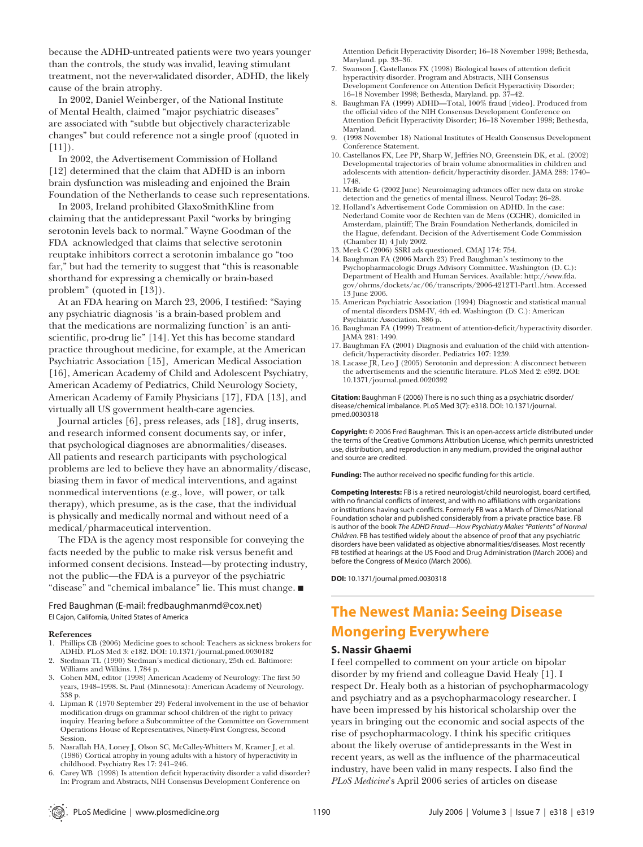because the ADHD-untreated patients were two years younger than the controls, the study was invalid, leaving stimulant treatment, not the never-validated disorder, ADHD, the likely cause of the brain atrophy.

In 2002, Daniel Weinberger, of the National Institute of Mental Health, claimed "major psychiatric diseases" are associated with "subtle but objectively characterizable changes" but could reference not a single proof (quoted in  $[11]$ ).

In 2002, the Advertisement Commission of Holland [12] determined that the claim that ADHD is an inborn brain dysfunction was misleading and enjoined the Brain Foundation of the Netherlands to cease such representations.

In 2003, Ireland prohibited GlaxoSmithKline from claiming that the antidepressant Paxil "works by bringing serotonin levels back to normal." Wayne Goodman of the FDA acknowledged that claims that selective serotonin reuptake inhibitors correct a serotonin imbalance go "too far," but had the temerity to suggest that "this is reasonable shorthand for expressing a chemically or brain-based problem" (quoted in [13]).

At an FDA hearing on March 23, 2006, I testified: "Saying any psychiatric diagnosis 'is a brain-based problem and that the medications are normalizing function' is an antiscientific, pro-drug lie" [14]. Yet this has become standard practice throughout medicine, for example, at the American Psychiatric Association [15], American Medical Association [16], American Academy of Child and Adolescent Psychiatry, American Academy of Pediatrics, Child Neurology Society, American Academy of Family Physicians [17], FDA [13], and virtually all US government health-care agencies.

Journal articles [6], press releases, ads [18], drug inserts, and research informed consent documents say, or infer, that psychological diagnoses are abnormalities/diseases. All patients and research participants with psychological problems are led to believe they have an abnormality/disease, biasing them in favor of medical interventions, and against nonmedical interventions (e.g., love, will power, or talk therapy), which presume, as is the case, that the individual is physically and medically normal and without need of a medical/pharmaceutical intervention.

The FDA is the agency most responsible for conveying the facts needed by the public to make risk versus benefit and informed consent decisions. Instead—by protecting industry, not the public—the FDA is a purveyor of the psychiatric "disease" and "chemical imbalance" lie. This must change.

Fred Baughman (E-mail: fredbaughmanmd@cox.net) El Cajon, California, United States of America

#### **References**

- 1. Phillips CB (2006) Medicine goes to school: Teachers as sickness brokers for ADHD. PLoS Med 3: e182. DOI: 10.1371/journal.pmed.0030182
- Stedman TL (1990) Stedman's medical dictionary, 25th ed. Baltimore: Williams and Wilkins. 1,784 p.
- 3. Cohen MM, editor (1998) American Academy of Neurology: The first 50 years, 1948–1998. St. Paul (Minnesota): American Academy of Neurology. 338 p.
- 4. Lipman R (1970 September 29) Federal involvement in the use of behavior modification drugs on grammar school children of the right to privacy inquiry. Hearing before a Subcommittee of the Committee on Government Operations House of Representatives, Ninety-First Congress, Second **Session**
- 5. Nasrallah HA, Loney J, Olson SC, McCalley-Whitters M, Kramer J, et al. (1986) Cortical atrophy in young adults with a history of hyperactivity in childhood. Psychiatry Res 17: 241–246.
- Carey WB (1998) Is attention deficit hyperactivity disorder a valid disorder? In: Program and Abstracts, NIH Consensus Development Conference on

Attention Deficit Hyperactivity Disorder; 16-18 November 1998; Bethesda, Maryland. pp. 33–36.

- 7. Swanson J, Castellanos FX (1998) Biological bases of attention deficit hyperactivity disorder. Program and Abstracts, NIH Consensus Development Conference on Attention Deficit Hyperactivity Disorder; 16–18 November 1998; Bethesda, Maryland. pp. 37–42.
- 8. Baughman FA (1999) ADHD—Total, 100% fraud [video]. Produced from the official video of the NIH Consensus Development Conference on Attention Deficit Hyperactivity Disorder; 16-18 November 1998; Bethesda, Maryland.
- 9. (1998 November 18) National Institutes of Health Consensus Development Conference Statement.
- 10. Castellanos FX, Lee PP, Sharp W, Jeffries NO, Greenstein DK, et al. (2002) Developmental trajectories of brain volume abnormalities in children and adolescents with attention- deficit/hyperactivity disorder. JAMA 288: 1740-1748.
- 11. McBride G (2002 June) Neuroimaging advances offer new data on stroke detection and the genetics of mental illness. Neurol Today: 26–28.
- 12. Holland's Advertisement Code Commission on ADHD. In the case: Nederland Comite voor de Rechten van de Mens (CCHR), domiciled in Amsterdam, plaintiff; The Brain Foundation Netherlands, domiciled in the Hague, defendant. Decision of the Advertisement Code Commission (Chamber II) 4 July 2002.
- 13. Meek C (2006) SSRI ads questioned. CMAJ 174: 754.
- 14. Baughman FA (2006 March 23) Fred Baughman's testimony to the Psychopharmacologic Drugs Advisory Committee. Washington (D. C.): Department of Health and Human Services. Available: http:⁄⁄www.fda. gov/ohrms/dockets/ac/06/transcripts/2006-4212T1-Part1.htm. Accessed 13 June 2006.
- 15. American Psychiatric Association (1994) Diagnostic and statistical manual of mental disorders DSM-IV, 4th ed. Washington (D. C.): American Psychiatric Association. 886 p.
- 16. Baughman FA (1999) Treatment of attention-deficit/hyperactivity disorder. JAMA 281: 1490.
- 17. Baughman FA (2001) Diagnosis and evaluation of the child with attentiondeficit/hyperactivity disorder. Pediatrics 107: 1239.
- 18. Lacasse JR, Leo J (2005) Serotonin and depression: A disconnect between the advertisements and the scientific literature. PLoS Med 2: e392. DOI: 10.1371/journal.pmed.0020392

**Citation:** Baughman F (2006) There is no such thing as a psychiatric disorder/ disease/chemical imbalance. PLoS Med 3(7): e318. DOI: 10.1371/journal. pmed.0030318

**Copyright:** © 2006 Fred Baughman. This is an open-access article distributed under the terms of the Creative Commons Attribution License, which permits unrestricted use, distribution, and reproduction in any medium, provided the original author and source are credited.

**Funding:** The author received no specific funding for this article.

**Competing Interests:** FB is a retired neurologist/child neurologist, board certified, with no financial conflicts of interest, and with no affiliations with organizations or institutions having such conflicts. Formerly FB was a March of Dimes/National Foundation scholar and published considerably from a private practice base. FB is author of the book *The ADHD Fraud—How Psychiatry Makes "Patients" of Normal Children*. FB has testified widely about the absence of proof that any psychiatric disorders have been validated as objective abnormalities/diseases. Most recently FB testified at hearings at the US Food and Drug Administration (March 2006) and before the Congress of Mexico (March 2006).

**DOI:** 10.1371/journal.pmed.0030318

# **The Newest Mania: Seeing Disease Mongering Everywhere**

## **S. Nassir Ghaemi**

I feel compelled to comment on your article on bipolar disorder by my friend and colleague David Healy [1]. I respect Dr. Healy both as a historian of psychopharmacology and psychiatry and as a psychopharmacology researcher. I have been impressed by his historical scholarship over the years in bringing out the economic and social aspects of the rise of psychopharmacology. I think his specific critiques about the likely overuse of antidepressants in the West in recent years, as well as the influence of the pharmaceutical industry, have been valid in many respects. I also find the *PLoS Medicine*'s April 2006 series of articles on disease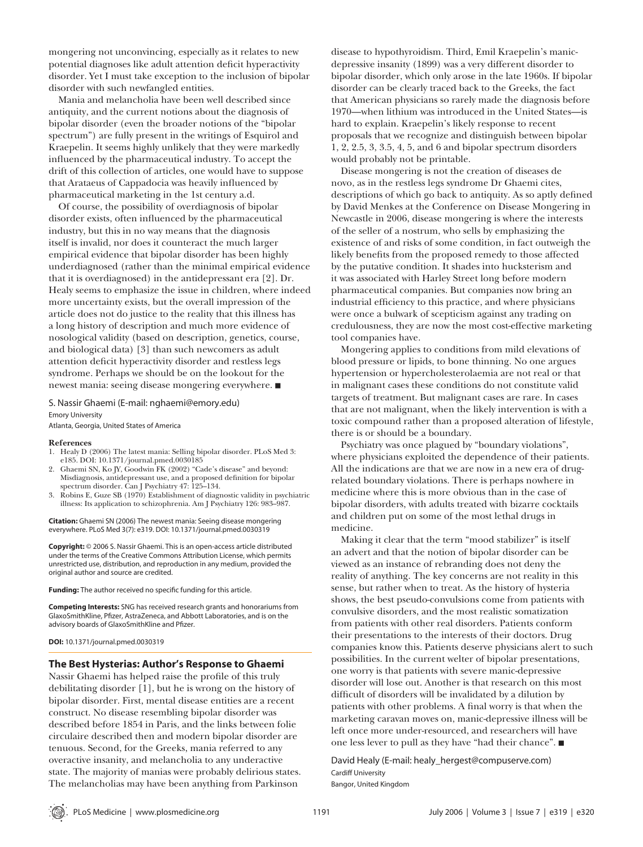mongering not unconvincing, especially as it relates to new potential diagnoses like adult attention deficit hyperactivity disorder. Yet I must take exception to the inclusion of bipolar disorder with such newfangled entities.

Mania and melancholia have been well described since antiquity, and the current notions about the diagnosis of bipolar disorder (even the broader notions of the "bipolar spectrum") are fully present in the writings of Esquirol and Kraepelin. It seems highly unlikely that they were markedly influenced by the pharmaceutical industry. To accept the drift of this collection of articles, one would have to suppose that Arataeus of Cappadocia was heavily influenced by pharmaceutical marketing in the 1st century a.d.

Of course, the possibility of overdiagnosis of bipolar disorder exists, often influenced by the pharmaceutical industry, but this in no way means that the diagnosis itself is invalid, nor does it counteract the much larger empirical evidence that bipolar disorder has been highly underdiagnosed (rather than the minimal empirical evidence that it is overdiagnosed) in the antidepressant era [2]. Dr. Healy seems to emphasize the issue in children, where indeed more uncertainty exists, but the overall impression of the article does not do justice to the reality that this illness has a long history of description and much more evidence of nosological validity (based on description, genetics, course, and biological data) [3] than such newcomers as adult attention deficit hyperactivity disorder and restless legs syndrome. Perhaps we should be on the lookout for the newest mania: seeing disease mongering everywhere.

## S. Nassir Ghaemi (E-mail: nghaemi@emory.edu) Emory University

Atlanta, Georgia, United States of America

#### **References**

- 1. Healy D (2006) The latest mania: Selling bipolar disorder. PLoS Med 3: e185. DOI: 10.1371/journal.pmed.0030185
- 2. Ghaemi SN, Ko JY, Goodwin FK (2002) "Cade's disease" and beyond: Misdiagnosis, antidepressant use, and a proposed definition for bipolar spectrum disorder. Can J Psychiatry 47: 125–134.
- 3. Robins E, Guze SB (1970) Establishment of diagnostic validity in psychiatric illness: Its application to schizophrenia. Am J Psychiatry 126: 983–987.

**Citation:** Ghaemi SN (2006) The newest mania: Seeing disease mongering everywhere. PLoS Med 3(7): e319. DOI: 10.1371/journal.pmed.0030319

**Copyright:** © 2006 S. Nassir Ghaemi. This is an open-access article distributed under the terms of the Creative Commons Attribution License, which permits unrestricted use, distribution, and reproduction in any medium, provided the original author and source are credited.

Funding: The author received no specific funding for this article.

**Competing Interests:** SNG has received research grants and honorariums from GlaxoSmithKline, Pfizer, AstraZeneca, and Abbott Laboratories, and is on the advisory boards of GlaxoSmithKline and Pfizer.

**DOI:** 10.1371/journal.pmed.0030319

#### **The Best Hysterias: Author's Response to Ghaemi**

Nassir Ghaemi has helped raise the profile of this truly debilitating disorder [1], but he is wrong on the history of bipolar disorder. First, mental disease entities are a recent construct. No disease resembling bipolar disorder was described before 1854 in Paris, and the links between folie circulaire described then and modern bipolar disorder are tenuous. Second, for the Greeks, mania referred to any overactive insanity, and melancholia to any underactive state. The majority of manias were probably delirious states. The melancholias may have been anything from Parkinson

disease to hypothyroidism. Third, Emil Kraepelin's manicdepressive insanity (1899) was a very different disorder to bipolar disorder, which only arose in the late 1960s. If bipolar disorder can be clearly traced back to the Greeks, the fact that American physicians so rarely made the diagnosis before 1970—when lithium was introduced in the United States—is hard to explain. Kraepelin's likely response to recent proposals that we recognize and distinguish between bipolar 1, 2, 2.5, 3, 3.5, 4, 5, and 6 and bipolar spectrum disorders would probably not be printable.

Disease mongering is not the creation of diseases de novo, as in the restless legs syndrome Dr Ghaemi cites, descriptions of which go back to antiquity. As so aptly defined by David Menkes at the Conference on Disease Mongering in Newcastle in 2006, disease mongering is where the interests of the seller of a nostrum, who sells by emphasizing the existence of and risks of some condition, in fact outweigh the likely benefits from the proposed remedy to those affected by the putative condition. It shades into hucksterism and it was associated with Harley Street long before modern pharmaceutical companies. But companies now bring an industrial efficiency to this practice, and where physicians were once a bulwark of scepticism against any trading on credulousness, they are now the most cost-effective marketing tool companies have.

Mongering applies to conditions from mild elevations of blood pressure or lipids, to bone thinning. No one argues hypertension or hypercholesterolaemia are not real or that in malignant cases these conditions do not constitute valid targets of treatment. But malignant cases are rare. In cases that are not malignant, when the likely intervention is with a toxic compound rather than a proposed alteration of lifestyle, there is or should be a boundary.

Psychiatry was once plagued by "boundary violations", where physicians exploited the dependence of their patients. All the indications are that we are now in a new era of drugrelated boundary violations. There is perhaps nowhere in medicine where this is more obvious than in the case of bipolar disorders, with adults treated with bizarre cocktails and children put on some of the most lethal drugs in medicine.

Making it clear that the term "mood stabilizer" is itself an advert and that the notion of bipolar disorder can be viewed as an instance of rebranding does not deny the reality of anything. The key concerns are not reality in this sense, but rather when to treat. As the history of hysteria shows, the best pseudo-convulsions come from patients with convulsive disorders, and the most realistic somatization from patients with other real disorders. Patients conform their presentations to the interests of their doctors. Drug companies know this. Patients deserve physicians alert to such possibilities. In the current welter of bipolar presentations, one worry is that patients with severe manic-depressive disorder will lose out. Another is that research on this most difficult of disorders will be invalidated by a dilution by patients with other problems. A final worry is that when the marketing caravan moves on, manic-depressive illness will be left once more under-resourced, and researchers will have one less lever to pull as they have "had their chance".

David Healy (E-mail: healy\_hergest@compuserve.com) Cardiff University

Bangor, United Kingdom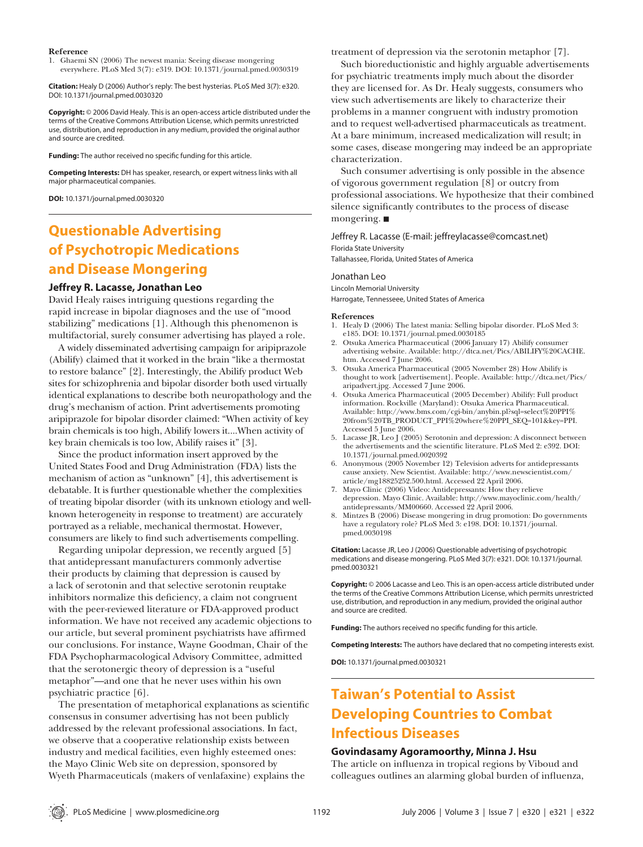#### **Reference**

1. Ghaemi SN (2006) The newest mania: Seeing disease mongering everywhere. PLoS Med 3(7): e319. DOI: 10.1371/journal.pmed.0030319

**Citation:** Healy D (2006) Author's reply: The best hysterias. PLoS Med 3(7): e320. DOI: 10.1371/journal.pmed.0030320

**Copyright:** © 2006 David Healy. This is an open-access article distributed under the terms of the Creative Commons Attribution License, which permits unrestricted use, distribution, and reproduction in any medium, provided the original author and source are credited.

Funding: The author received no specific funding for this article.

**Competing Interests:** DH has speaker, research, or expert witness links with all major pharmaceutical companies.

**DOI:** 10.1371/journal.pmed.0030320

# **Questionable Advertising of Psychotropic Medications and Disease Mongering**

## **Jeffrey R. Lacasse, Jonathan Leo**

David Healy raises intriguing questions regarding the rapid increase in bipolar diagnoses and the use of "mood stabilizing" medications [1]. Although this phenomenon is multifactorial, surely consumer advertising has played a role.

A widely disseminated advertising campaign for aripiprazole (Abilify) claimed that it worked in the brain "like a thermostat to restore balance" [2]. Interestingly, the Abilify product Web sites for schizophrenia and bipolar disorder both used virtually identical explanations to describe both neuropathology and the drug's mechanism of action. Print advertisements promoting aripiprazole for bipolar disorder claimed: "When activity of key brain chemicals is too high, Abilify lowers it....When activity of key brain chemicals is too low, Abilify raises it" [3].

Since the product information insert approved by the United States Food and Drug Administration (FDA) lists the mechanism of action as "unknown" [4], this advertisement is debatable. It is further questionable whether the complexities of treating bipolar disorder (with its unknown etiology and wellknown heterogeneity in response to treatment) are accurately portrayed as a reliable, mechanical thermostat. However, consumers are likely to find such advertisements compelling.

Regarding unipolar depression, we recently argued [5] that antidepressant manufacturers commonly advertise their products by claiming that depression is caused by a lack of serotonin and that selective serotonin reuptake inhibitors normalize this deficiency, a claim not congruent with the peer-reviewed literature or FDA-approved product information. We have not received any academic objections to our article, but several prominent psychiatrists have affirmed our conclusions. For instance, Wayne Goodman, Chair of the FDA Psychopharmacological Advisory Committee, admitted that the serotonergic theory of depression is a "useful metaphor"—and one that he never uses within his own psychiatric practice [6].

The presentation of metaphorical explanations as scientific consensus in consumer advertising has not been publicly addressed by the relevant professional associations. In fact, we observe that a cooperative relationship exists between industry and medical facilities, even highly esteemed ones: the Mayo Clinic Web site on depression, sponsored by Wyeth Pharmaceuticals (makers of venlafaxine) explains the

treatment of depression via the serotonin metaphor [7].

Such bioreductionistic and highly arguable advertisements for psychiatric treatments imply much about the disorder they are licensed for. As Dr. Healy suggests, consumers who view such advertisements are likely to characterize their problems in a manner congruent with industry promotion and to request well-advertised pharmaceuticals as treatment. At a bare minimum, increased medicalization will result; in some cases, disease mongering may indeed be an appropriate characterization.

Such consumer advertising is only possible in the absence of vigorous government regulation [8] or outcry from professional associations. We hypothesize that their combined silence significantly contributes to the process of disease mongering.

Jeffrey R. Lacasse (E-mail: jeffreylacasse@comcast.net) Florida State University Tallahassee, Florida, United States of America

### Jonathan Leo

Lincoln Memorial University Harrogate, Tennesseee, United States of America

#### **References**

- 1. Healy D (2006) The latest mania: Selling bipolar disorder. PLoS Med 3: e185. DOI: 10.1371/journal.pmed.0030185
- 2. Otsuka America Pharmaceutical (2006 January 17) Abilify consumer advertising website. Available: http:⁄⁄dtca.net/Pics/ABILIFY%20CACHE. htm. Accessed 7 June 2006.
- 3. Otsuka America Pharmaceutical (2005 November 28) How Abilify is thought to work [advertisement]. People. Available: http:⁄⁄dtca.net/Pics/ aripadvert.jpg. Accessed 7 June 2006.
- 4. Otsuka America Pharmaceutical (2005 December) Abilify: Full product information. Rockville (Maryland): Otsuka America Pharmaceutical. Available: http:⁄⁄www.bms.com/cgi-bin/anybin.pl?sql=select%20PPI% 20from%20TB\_PRODUCT\_PPI%20where%20PPI\_SEQ=101&key=PPI. Accessed 5 June 2006.
- 5. Lacasse JR, Leo J (2005) Serotonin and depression: A disconnect between the advertisements and the scientific literature. PLoS Med 2: e392. DOI: 10.1371/journal.pmed.0020392
- 6. Anonymous (2005 November 12) Television adverts for antidepressants cause anxiety. New Scientist. Available: http:⁄⁄www.newscientist.com/ article/mg18825252.500.html. Accessed 22 April 2006.
- 7. Mayo Clinic (2006) Video: Antidepressants: How they relieve depression. Mayo Clinic. Available: http:⁄⁄www.mayoclinic.com/health/ antidepressants/MM00660. Accessed 22 April 2006.
- 8. Mintzes B (2006) Disease mongering in drug promotion: Do governments have a regulatory role? PLoS Med 3: e198. DOI: 10.1371/journal. pmed.0030198

**Citation:** Lacasse JR, Leo J (2006) Questionable advertising of psychotropic medications and disease mongering. PLoS Med 3(7): e321. DOI: 10.1371/journal. pmed.0030321

**Copyright:** © 2006 Lacasse and Leo. This is an open-access article distributed under the terms of the Creative Commons Attribution License, which permits unrestricted use, distribution, and reproduction in any medium, provided the original author and source are credited.

Funding: The authors received no specific funding for this article.

**Competing Interests:** The authors have declared that no competing interests exist.

**DOI:** 10.1371/journal.pmed.0030321

# **Taiwan's Potential to Assist Developing Countries to Combat Infectious Diseases**

## **Govindasamy Agoramoorthy, Minna J. Hsu**

The article on influenza in tropical regions by Viboud and colleagues outlines an alarming global burden of influenza,